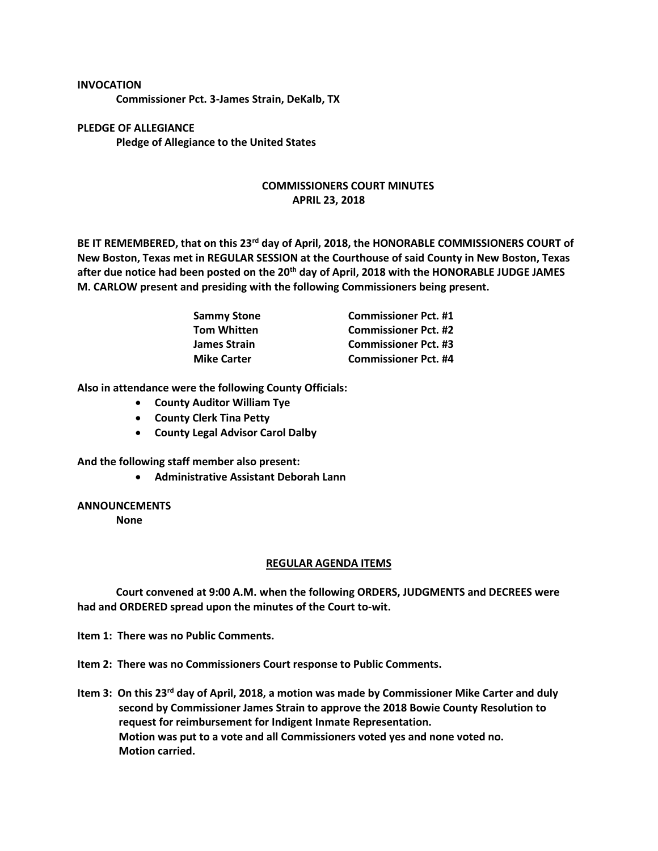## **INVOCATION**

**Commissioner Pct. 3-James Strain, DeKalb, TX**

**PLEDGE OF ALLEGIANCE Pledge of Allegiance to the United States**

## **COMMISSIONERS COURT MINUTES APRIL 23, 2018**

**BE IT REMEMBERED, that on this 23rd day of April, 2018, the HONORABLE COMMISSIONERS COURT of New Boston, Texas met in REGULAR SESSION at the Courthouse of said County in New Boston, Texas after due notice had been posted on the 20th day of April, 2018 with the HONORABLE JUDGE JAMES M. CARLOW present and presiding with the following Commissioners being present.**

| <b>Sammy Stone</b>  | <b>Commissioner Pct. #1</b> |
|---------------------|-----------------------------|
| <b>Tom Whitten</b>  | <b>Commissioner Pct. #2</b> |
| <b>James Strain</b> | <b>Commissioner Pct. #3</b> |
| <b>Mike Carter</b>  | <b>Commissioner Pct. #4</b> |

**Also in attendance were the following County Officials:**

- **County Auditor William Tye**
- **County Clerk Tina Petty**
- **County Legal Advisor Carol Dalby**

**And the following staff member also present:**

• **Administrative Assistant Deborah Lann**

## **ANNOUNCEMENTS**

**None**

## **REGULAR AGENDA ITEMS**

**Court convened at 9:00 A.M. when the following ORDERS, JUDGMENTS and DECREES were had and ORDERED spread upon the minutes of the Court to-wit.**

**Item 1: There was no Public Comments.**

**Item 2: There was no Commissioners Court response to Public Comments.**

**Item 3: On this 23rd day of April, 2018, a motion was made by Commissioner Mike Carter and duly second by Commissioner James Strain to approve the 2018 Bowie County Resolution to request for reimbursement for Indigent Inmate Representation. Motion was put to a vote and all Commissioners voted yes and none voted no. Motion carried.**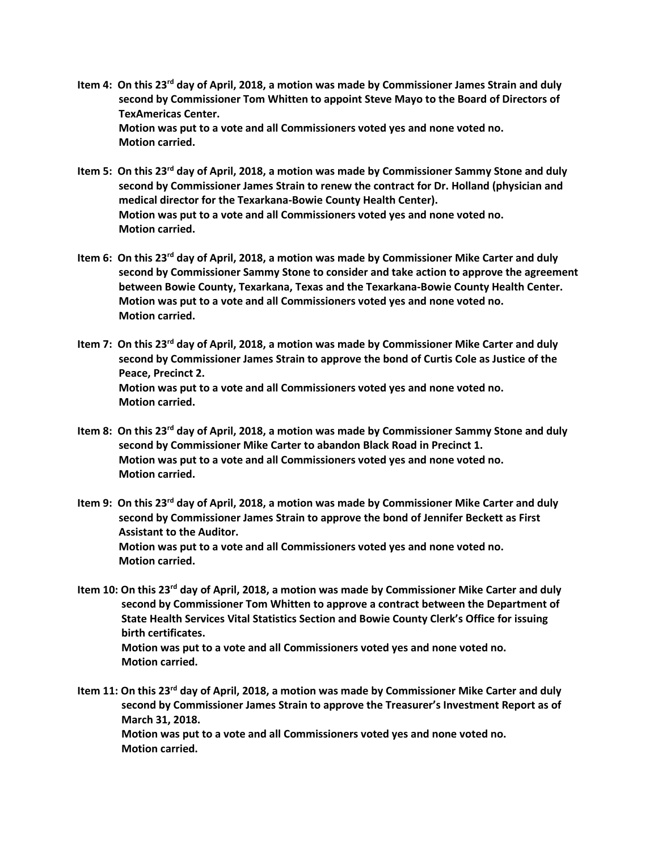- **Item 4: On this 23rd day of April, 2018, a motion was made by Commissioner James Strain and duly second by Commissioner Tom Whitten to appoint Steve Mayo to the Board of Directors of TexAmericas Center. Motion was put to a vote and all Commissioners voted yes and none voted no. Motion carried.**
- **Item 5: On this 23rd day of April, 2018, a motion was made by Commissioner Sammy Stone and duly second by Commissioner James Strain to renew the contract for Dr. Holland (physician and medical director for the Texarkana-Bowie County Health Center). Motion was put to a vote and all Commissioners voted yes and none voted no. Motion carried.**
- **Item 6: On this 23rd day of April, 2018, a motion was made by Commissioner Mike Carter and duly second by Commissioner Sammy Stone to consider and take action to approve the agreement between Bowie County, Texarkana, Texas and the Texarkana-Bowie County Health Center. Motion was put to a vote and all Commissioners voted yes and none voted no. Motion carried.**
- **Item 7: On this 23rd day of April, 2018, a motion was made by Commissioner Mike Carter and duly second by Commissioner James Strain to approve the bond of Curtis Cole as Justice of the Peace, Precinct 2. Motion was put to a vote and all Commissioners voted yes and none voted no. Motion carried.**
- **Item 8: On this 23rd day of April, 2018, a motion was made by Commissioner Sammy Stone and duly second by Commissioner Mike Carter to abandon Black Road in Precinct 1. Motion was put to a vote and all Commissioners voted yes and none voted no. Motion carried.**
- **Item 9: On this 23rd day of April, 2018, a motion was made by Commissioner Mike Carter and duly second by Commissioner James Strain to approve the bond of Jennifer Beckett as First Assistant to the Auditor. Motion was put to a vote and all Commissioners voted yes and none voted no. Motion carried.**
- **Item 10: On this 23rd day of April, 2018, a motion was made by Commissioner Mike Carter and duly second by Commissioner Tom Whitten to approve a contract between the Department of State Health Services Vital Statistics Section and Bowie County Clerk's Office for issuing birth certificates. Motion was put to a vote and all Commissioners voted yes and none voted no. Motion carried.**
- **Item 11: On this 23rd day of April, 2018, a motion was made by Commissioner Mike Carter and duly second by Commissioner James Strain to approve the Treasurer's Investment Report as of March 31, 2018. Motion was put to a vote and all Commissioners voted yes and none voted no. Motion carried.**